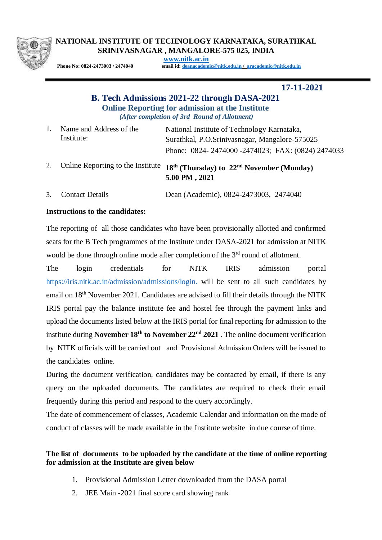

#### **NATIONAL INSTITUTE OF TECHNOLOGY KARNATAKA, SURATHKAL SRINIVASNAGAR , MANGALORE-575 025, INDIA**

**[www.nitk.ac.in](http://www.nitk.ac.in/)**

**Phone No: 0824-2473003 / 2474040 email id: [deanacademic@nitk.edu.in](mailto:deanacademic@nitk.edu.in) / [aracademic@nitk.edu.in](mailto:aracademic@nitk.edu.in)**

 **17-11-2021**

# **B. Tech Admissions 2021-22 through DASA-2021 Online Reporting for admission at the Institute** *(After completion of 3rd Round of Allotment)*

| Name and Address of the | National Institute of Technology Karnataka,      |
|-------------------------|--------------------------------------------------|
| Institute:              | Surathkal, P.O.Srinivasnagar, Mangalore-575025   |
|                         | Phone: 0824-2474000-2474023; FAX: (0824) 2474033 |

- 2. Online Reporting to the Institute **18th (Thursday) to 22nd November (Monday) 5.00 PM , 2021**
- 3. Contact Details Dean (Academic), 0824-2473003, 2474040

# **Instructions to the candidates:**

The reporting of all those candidates who have been provisionally allotted and confirmed seats for the B Tech programmes of the Institute under DASA-2021 for admission at NITK would be done through online mode after completion of the 3<sup>rd</sup> round of allotment.

The login credentials for NITK IRIS admission portal [https://iris.nitk.ac.in/admission/admissions/login.](https://iris.nitk.ac.in/admission/admissions/login) will be sent to all such candidates by email on 18<sup>th</sup> November 2021. Candidates are advised to fill their details through the NITK IRIS portal pay the balance institute fee and hostel fee through the payment links and upload the documents listed below at the IRIS portal for final reporting for admission to the institute during **November 18th to November 22nd 2021** . The online document verification by NITK officials will be carried out and Provisional Admission Orders will be issued to the candidates online.

During the document verification, candidates may be contacted by email, if there is any query on the uploaded documents. The candidates are required to check their email frequently during this period and respond to the query accordingly.

The date of commencement of classes, Academic Calendar and information on the mode of conduct of classes will be made available in the Institute website in due course of time.

# **The list of documents to be uploaded by the candidate at the time of online reporting for admission at the Institute are given below**

- 1. Provisional Admission Letter downloaded from the DASA portal
- 2. JEE Main -2021 final score card showing rank